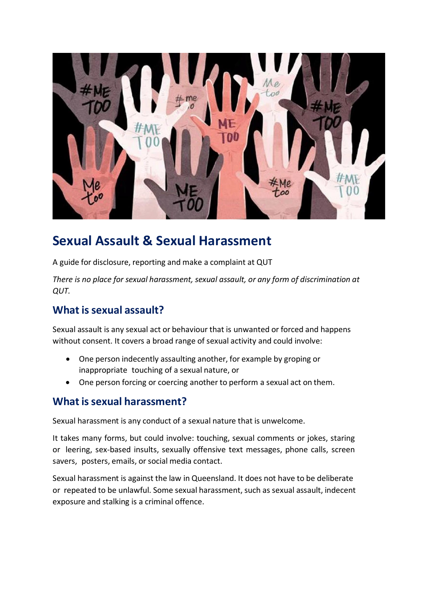

# **Sexual Assault & Sexual Harassment**

A guide for disclosure, reporting and make a complaint at QUT

*There is no place for sexual harassment, sexual assault, or any form of discrimination at QUT.*

# **What issexual assault?**

Sexual assault is any sexual act or behaviour that is unwanted or forced and happens without consent. It covers a broad range of sexual activity and could involve:

- One person indecently assaulting another, for example by groping or inappropriate touching of a sexual nature, or
- One person forcing or coercing another to perform a sexual act on them.

## **What issexual harassment?**

Sexual harassment is any conduct of a sexual nature that is unwelcome.

It takes many forms, but could involve: touching, sexual comments or jokes, staring or leering, sex-based insults, sexually offensive text messages, phone calls, screen savers, posters, emails, or social media contact.

Sexual harassment is against the law in Queensland. It does not have to be deliberate or repeated to be unlawful. Some sexual harassment, such as sexual assault, indecent exposure and stalking is a criminal offence.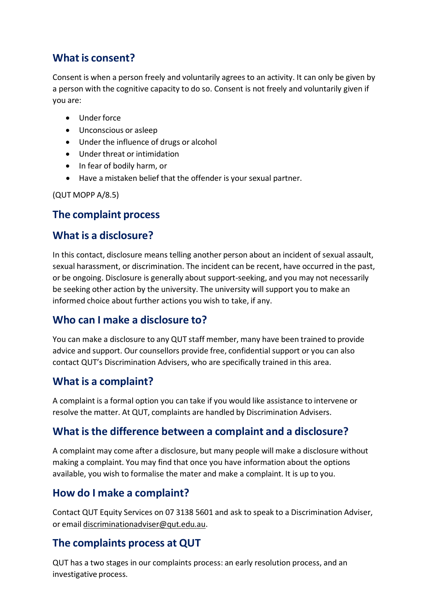# **What is consent?**

Consent is when a person freely and voluntarily agrees to an activity. It can only be given by a person with the cognitive capacity to do so. Consent is not freely and voluntarily given if you are:

- Underforce
- Unconscious or asleep
- Under the influence of drugs or alcohol
- Under threat or intimidation
- In fear of bodily harm, or
- Have a mistaken belief that the offender is your sexual partner.

(QUT MOPP A/8.5)

#### **The complaint process**

## **What is a disclosure?**

In this contact, disclosure means telling another person about an incident of sexual assault, sexual harassment, or discrimination. The incident can be recent, have occurred in the past, or be ongoing. Disclosure is generally about support-seeking, and you may not necessarily be seeking other action by the university. The university will support you to make an informed choice about further actions you wish to take, if any.

## **Who can I make a disclosure to?**

You can make a disclosure to any QUT staff member, many have been trained to provide advice and support. Our counsellors provide free, confidential support or you can also contact QUT's Discrimination Advisers, who are specifically trained in this area.

## **What is a complaint?**

A complaint is a formal option you can take if you would like assistance to intervene or resolve the matter. At QUT, complaints are handled by Discrimination Advisers.

#### **What isthe difference between a complaint and a disclosure?**

A complaint may come after a disclosure, but many people will make a disclosure without making a complaint. You may find that once you have information about the options available, you wish to formalise the mater and make a complaint. It is up to you.

## **How do I make a complaint?**

Contact QUT Equity Services on 07 3138 5601 and ask to speak to a Discrimination Adviser, or email [discriminationadviser@qut.edu.au.](mailto:discriminationadviser@qut.edu.au)

## **The complaints process at QUT**

QUT has a two stages in our complaints process: an early resolution process, and an investigative process.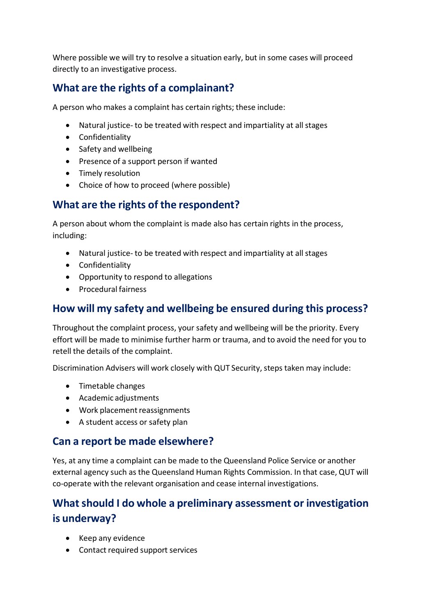Where possible we will try to resolve a situation early, but in some cases will proceed directly to an investigative process.

# **What are the rights of a complainant?**

A person who makes a complaint has certain rights; these include:

- Natural justice- to be treated with respect and impartiality at all stages
- Confidentiality
- Safety and wellbeing
- Presence of a support person if wanted
- Timely resolution
- Choice of how to proceed (where possible)

## **What are the rights of the respondent?**

A person about whom the complaint is made also has certain rights in the process, including:

- Natural justice- to be treated with respect and impartiality at all stages
- Confidentiality
- Opportunity to respond to allegations
- Procedural fairness

#### **How will my safety and wellbeing be ensured during this process?**

Throughout the complaint process, your safety and wellbeing will be the priority. Every effort will be made to minimise further harm or trauma, and to avoid the need for you to retell the details of the complaint.

Discrimination Advisers will work closely with QUT Security, steps taken may include:

- Timetable changes
- Academic adjustments
- Work placement reassignments
- A student access or safety plan

#### **Can a report be made elsewhere?**

Yes, at any time a complaint can be made to the Queensland Police Service or another external agency such as the Queensland Human Rights Commission. In that case, QUT will co-operate with the relevant organisation and cease internal investigations.

# **Whatshould I do whole a preliminary assessment or investigation is underway?**

- Keep any evidence
- Contact required support services